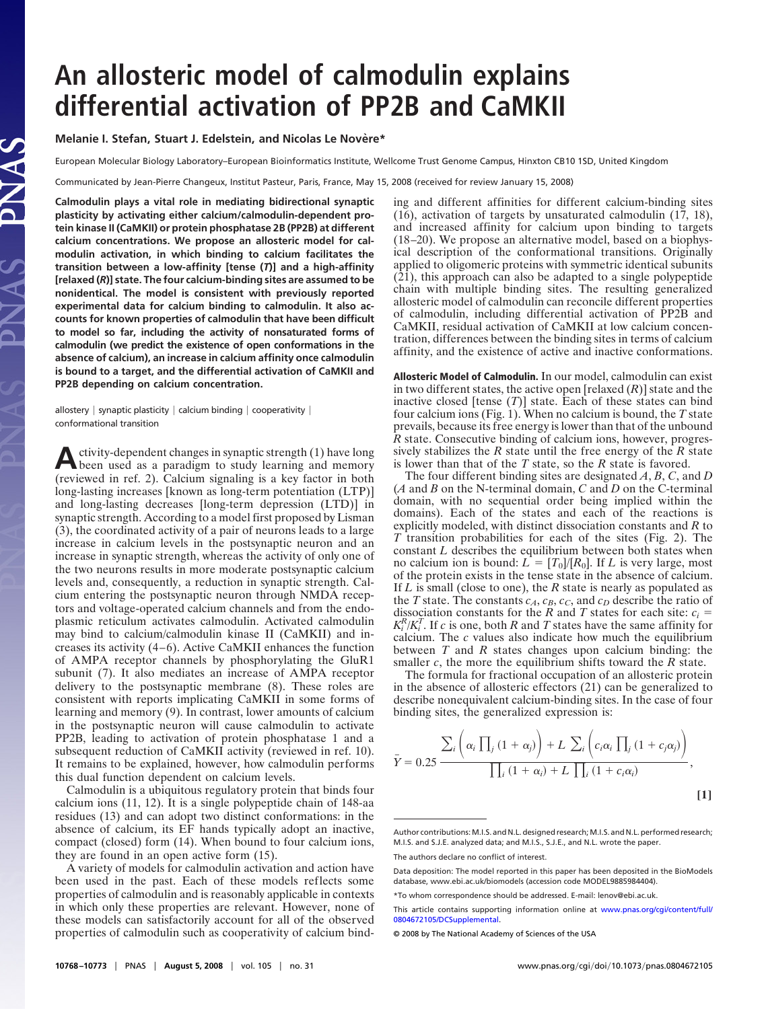## **An allosteric model of calmodulin explains differential activation of PP2B and CaMKII**

## **Melanie I. Stefan, Stuart J. Edelstein, and Nicolas Le Novère\***

European Molecular Biology Laboratory–European Bioinformatics Institute, Wellcome Trust Genome Campus, Hinxton CB10 1SD, United Kingdom

Communicated by Jean-Pierre Changeux, Institut Pasteur, Paris, France, May 15, 2008 (received for review January 15, 2008)

**Calmodulin plays a vital role in mediating bidirectional synaptic plasticity by activating either calcium/calmodulin-dependent protein kinase II (CaMKII) or protein phosphatase 2B (PP2B) at different calcium concentrations. We propose an allosteric model for calmodulin activation, in which binding to calcium facilitates the transition between a low-affinity [tense (***T***)] and a high-affinity [relaxed (***R***)] state. The four calcium-binding sites are assumed to be nonidentical. The model is consistent with previously reported experimental data for calcium binding to calmodulin. It also accounts for known properties of calmodulin that have been difficult to model so far, including the activity of nonsaturated forms of calmodulin (we predict the existence of open conformations in the absence of calcium), an increase in calcium affinity once calmodulin is bound to a target, and the differential activation of CaMKII and PP2B depending on calcium concentration.**

allostery  $|$  synaptic plasticity  $|$  calcium binding  $|$  cooperativity  $|$ conformational transition

Activity-dependent changes in synaptic strength (1) have long<br>been used as a paradigm to study learning and memory (reviewed in ref. 2). Calcium signaling is a key factor in both long-lasting increases [known as long-term potentiation (LTP)] and long-lasting decreases [long-term depression (LTD)] in synaptic strength. According to a model first proposed by Lisman (3), the coordinated activity of a pair of neurons leads to a large increase in calcium levels in the postsynaptic neuron and an increase in synaptic strength, whereas the activity of only one of the two neurons results in more moderate postsynaptic calcium levels and, consequently, a reduction in synaptic strength. Calcium entering the postsynaptic neuron through NMDA receptors and voltage-operated calcium channels and from the endoplasmic reticulum activates calmodulin. Activated calmodulin may bind to calcium/calmodulin kinase II (CaMKII) and increases its activity (4–6). Active CaMKII enhances the function of AMPA receptor channels by phosphorylating the GluR1 subunit (7). It also mediates an increase of AMPA receptor delivery to the postsynaptic membrane (8). These roles are consistent with reports implicating CaMKII in some forms of learning and memory (9). In contrast, lower amounts of calcium in the postsynaptic neuron will cause calmodulin to activate PP2B, leading to activation of protein phosphatase 1 and a subsequent reduction of CaMKII activity (reviewed in ref. 10). It remains to be explained, however, how calmodulin performs this dual function dependent on calcium levels.

Calmodulin is a ubiquitous regulatory protein that binds four calcium ions (11, 12). It is a single polypeptide chain of 148-aa residues (13) and can adopt two distinct conformations: in the absence of calcium, its EF hands typically adopt an inactive, compact (closed) form (14). When bound to four calcium ions, they are found in an open active form (15).

A variety of models for calmodulin activation and action have been used in the past. Each of these models reflects some properties of calmodulin and is reasonably applicable in contexts in which only these properties are relevant. However, none of these models can satisfactorily account for all of the observed properties of calmodulin such as cooperativity of calcium binding and different affinities for different calcium-binding sites  $(16)$ , activation of targets by unsaturated calmodulin  $(17, 18)$ , and increased affinity for calcium upon binding to targets (18–20). We propose an alternative model, based on a biophysical description of the conformational transitions. Originally applied to oligomeric proteins with symmetric identical subunits (21), this approach can also be adapted to a single polypeptide chain with multiple binding sites. The resulting generalized allosteric model of calmodulin can reconcile different properties of calmodulin, including differential activation of PP2B and CaMKII, residual activation of CaMKII at low calcium concentration, differences between the binding sites in terms of calcium affinity, and the existence of active and inactive conformations.

**Allosteric Model of Calmodulin.** In our model, calmodulin can exist in two different states, the active open [relaxed (*R*)] state and the inactive closed [tense (*T*)] state. Each of these states can bind four calcium ions (Fig. 1). When no calcium is bound, the *T* state prevails, because its free energy is lower than that of the unbound *R* state. Consecutive binding of calcium ions, however, progressively stabilizes the  $R$  state until the free energy of the  $R$  state is lower than that of the *T* state, so the *R* state is favored.

The four different binding sites are designated *A*, *B*, *C*, and *D* (*A* and *B* on the N-terminal domain, *C* and *D* on the C-terminal domain, with no sequential order being implied within the domains). Each of the states and each of the reactions is explicitly modeled, with distinct dissociation constants and *R* to *T* transition probabilities for each of the sites (Fig. 2). The constant *L* describes the equilibrium between both states when no calcium ion is bound:  $L = [T_0]/[R_0]$ . If *L* is very large, most of the protein exists in the tense state in the absence of calcium. If *L* is small (close to one), the *R* state is nearly as populated as the *T* state. The constants  $c_A$ ,  $c_B$ ,  $c_C$ , and  $c_D$  describe the ratio of dissociation constants for the *R* and *T* states for each site:  $c_i$  =  $K_i^R/K_i^T$ . If *c* is one, both *R* and *T* states have the same affinity for calcium. The *c* values also indicate how much the equilibrium between *T* and *R* states changes upon calcium binding: the smaller *c*, the more the equilibrium shifts toward the *R* state.

The formula for fractional occupation of an allosteric protein in the absence of allosteric effectors (21) can be generalized to describe nonequivalent calcium-binding sites. In the case of four binding sites, the generalized expression is:

$$
\bar{Y} = 0.25 \frac{\sum_{i} \left( \alpha_{i} \prod_{j} \left( 1 + \alpha_{j} \right) \right) + L \sum_{i} \left( c_{i} \alpha_{i} \prod_{j} \left( 1 + c_{j} \alpha_{j} \right) \right)}{\prod_{i} \left( 1 + \alpha_{i} \right) + L \prod_{i} \left( 1 + c_{i} \alpha_{i} \right)},
$$
\n[1]

Author contributions: M.I.S. and N.L. designed research; M.I.S. and N.L. performed research; M.I.S. and S.J.E. analyzed data; and M.I.S., S.J.E., and N.L. wrote the paper.

The authors declare no conflict of interest.

Data deposition: The model reported in this paper has been deposited in the BioModels database, www.ebi.ac.uk/biomodels (accession code MODEL9885984404).

<sup>\*</sup>To whom correspondence should be addressed. E-mail: lenov@ebi.ac.uk.

This article contains supporting information online at [www.pnas.org/cgi/content/full/](http://www.pnas.org/cgi/content/full/0804672105/DCSupplemental) [0804672105/DCSupplemental.](http://www.pnas.org/cgi/content/full/0804672105/DCSupplemental)

<sup>© 2008</sup> by The National Academy of Sciences of the USA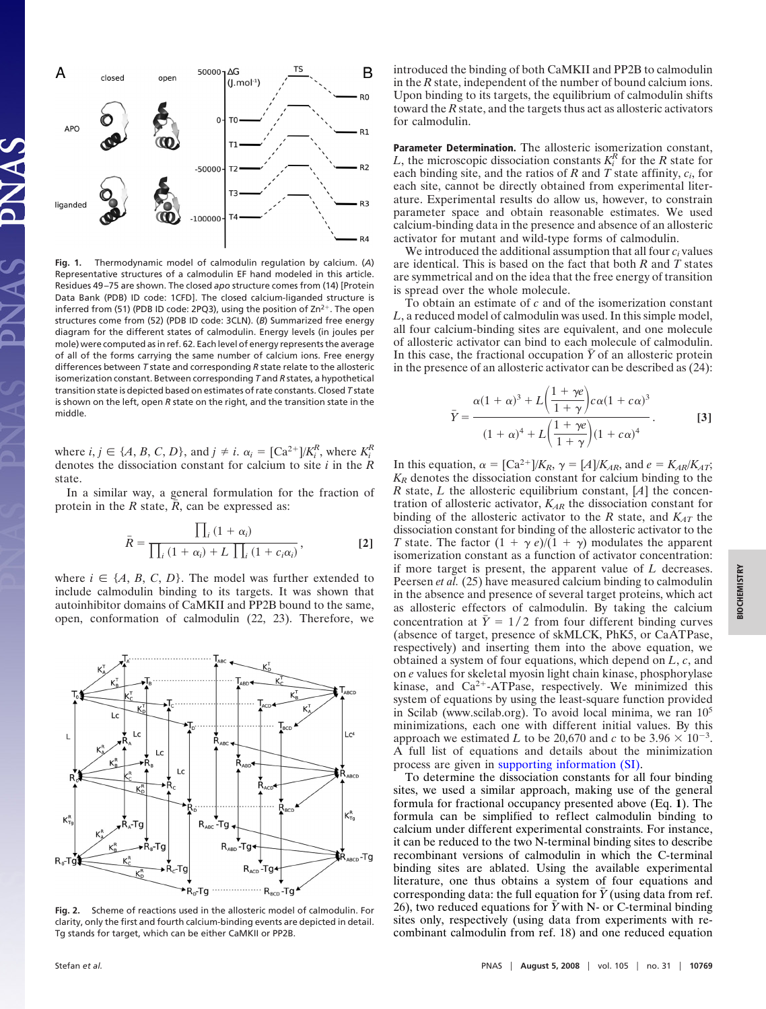

**Fig. 1.** Thermodynamic model of calmodulin regulation by calcium. (*A*) Representative structures of a calmodulin EF hand modeled in this article. Residues 49–75 are shown. The closed *apo* structure comes from (14) [Protein Data Bank (PDB) ID code: 1CFD]. The closed calcium-liganded structure is inferred from (51) (PDB ID code: 2PQ3), using the position of  $Zn^{2+}$ . The open structures come from (52) (PDB ID code: 3CLN). (*B*) Summarized free energy diagram for the different states of calmodulin. Energy levels (in joules per mole) were computed as in ref. 62. Each level of energy represents the average of all of the forms carrying the same number of calcium ions. Free energy differences between *T* state and corresponding *R* state relate to the allosteric isomerization constant. Between corresponding *T* and *R* states, a hypothetical transition state is depicted based on estimates of rate constants. Closed *T* state is shown on the left, open *R* state on the right, and the transition state in the middle.

where  $i, j \in \{A, B, C, D\}$ , and  $j \neq i$ .  $\alpha_i = [Ca^{2+1}]/K_i^R$ , where  $K_i^R$ denotes the dissociation constant for calcium to site *i* in the *R* state.

In a similar way, a general formulation for the fraction of protein in the  $R$  state,  $\overline{R}$ , can be expressed as:

$$
\bar{R} = \frac{\prod_{i} (1 + \alpha_i)}{\prod_{i} (1 + \alpha_i) + L \prod_{i} (1 + c_i \alpha_i)},
$$
 [2]

where  $i \in \{A, B, C, D\}$ . The model was further extended to include calmodulin binding to its targets. It was shown that autoinhibitor domains of CaMKII and PP2B bound to the same, open, conformation of calmodulin (22, 23). Therefore, we



**Fig. 2.** Scheme of reactions used in the allosteric model of calmodulin. For clarity, only the first and fourth calcium-binding events are depicted in detail. Tg stands for target, which can be either CaMKII or PP2B.

introduced the binding of both CaMKII and PP2B to calmodulin in the *R* state, independent of the number of bound calcium ions. Upon binding to its targets, the equilibrium of calmodulin shifts toward the *R* state, and the targets thus act as allosteric activators for calmodulin.

**Parameter Determination.** The allosteric isomerization constant, *L*, the microscopic dissociation constants  $K_i^R$  for the *R* state for each binding site, and the ratios of *R* and *T* state affinity, *ci*, for each site, cannot be directly obtained from experimental literature. Experimental results do allow us, however, to constrain parameter space and obtain reasonable estimates. We used calcium-binding data in the presence and absence of an allosteric activator for mutant and wild-type forms of calmodulin.

We introduced the additional assumption that all four *ci* values are identical. This is based on the fact that both *R* and *T* states are symmetrical and on the idea that the free energy of transition is spread over the whole molecule.

To obtain an estimate of *c* and of the isomerization constant *L*, a reduced model of calmodulin was used. In this simple model, all four calcium-binding sites are equivalent, and one molecule of allosteric activator can bind to each molecule of calmodulin. In this case, the fractional occupation  $\bar{Y}$  of an allosteric protein in the presence of an allosteric activator can be described as (24):

$$
\bar{Y} = \frac{\alpha(1+\alpha)^3 + L\left(\frac{1+\gamma e}{1+\gamma}\right)c\alpha(1+c\alpha)^3}{(1+\alpha)^4 + L\left(\frac{1+\gamma e}{1+\gamma}\right)(1+c\alpha)^4}.
$$
 [3]

In this equation,  $\alpha = [Ca^{2+1}]/K_R$ ,  $\gamma = [A]/K_{AR}$ , and  $e = K_{AR}/K_{AT}$ ; *KR* denotes the dissociation constant for calcium binding to the *R* state, *L* the allosteric equilibrium constant, [*A*] the concentration of allosteric activator, *KAR* the dissociation constant for binding of the allosteric activator to the  $R$  state, and  $K_{AT}$  the dissociation constant for binding of the allosteric activator to the *T* state. The factor  $(1 + \gamma e)/(1 + \gamma)$  modulates the apparent isomerization constant as a function of activator concentration: if more target is present, the apparent value of *L* decreases. Peersen *et al.* (25) have measured calcium binding to calmodulin in the absence and presence of several target proteins, which act as allosteric effectors of calmodulin. By taking the calcium concentration at  $\bar{Y} = 1/2$  from four different binding curves (absence of target, presence of skMLCK, PhK5, or CaATPase, respectively) and inserting them into the above equation, we obtained a system of four equations, which depend on *L*, *c*, and on *e* values for skeletal myosin light chain kinase, phosphorylase kinase, and  $Ca^{2+}-ATP$ ase, respectively. We minimized this system of equations by using the least-square function provided in Scilab (www.scilab.org). To avoid local minima, we ran  $10<sup>5</sup>$ minimizations, each one with different initial values. By this approach we estimated *L* to be 20,670 and *c* to be 3.96  $\times$  10<sup>-3</sup>. A full list of equations and details about the minimization process are given in [supporting information \(SI\).](http://www.pnas.org/cgi/content/full/0804672105/DCSupplemental)

To determine the dissociation constants for all four binding sites, we used a similar approach, making use of the general formula for fractional occupancy presented above (Eq. **1**). The formula can be simplified to reflect calmodulin binding to calcium under different experimental constraints. For instance, it can be reduced to the two N-terminal binding sites to describe recombinant versions of calmodulin in which the C-terminal binding sites are ablated. Using the available experimental literature, one thus obtains a system of four equations and corresponding data: the full equation for  $\bar{Y}$  (using data from ref. 26), two reduced equations for  $\overline{Y}$  with N- or C-terminal binding sites only, respectively (using data from experiments with recombinant calmodulin from ref. 18) and one reduced equation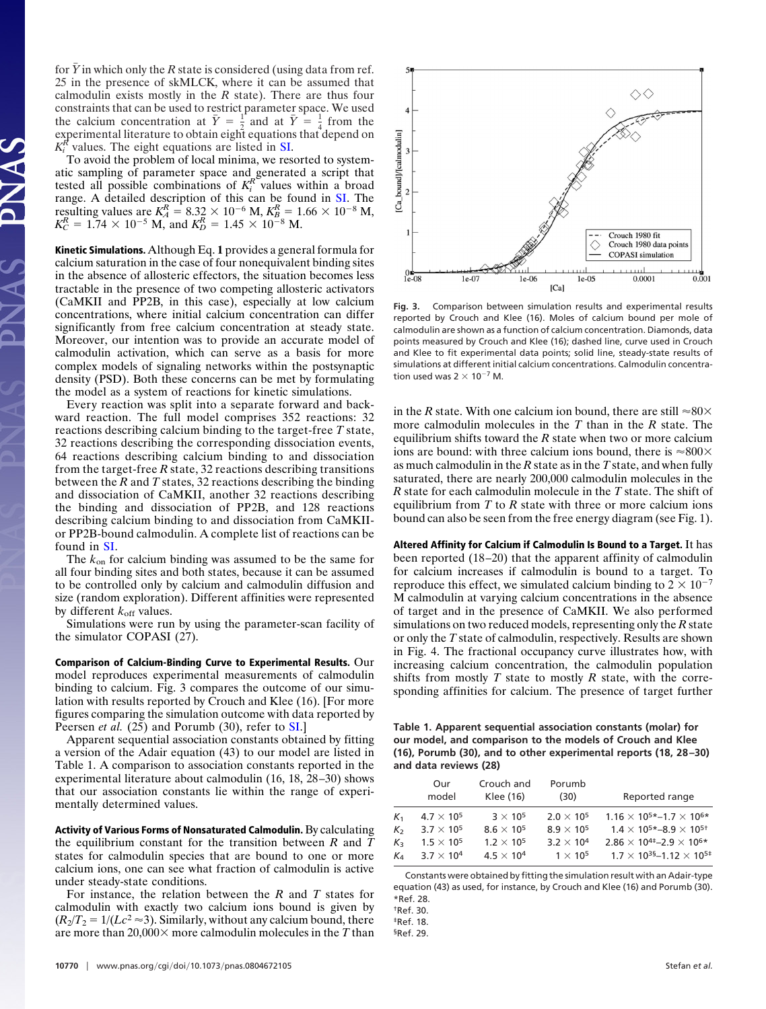for  $\overline{Y}$  in which only the *R* state is considered (using data from ref. 25 in the presence of skMLCK, where it can be assumed that calmodulin exists mostly in the *R* state). There are thus four constraints that can be used to restrict parameter space. We used the calcium concentration at  $\bar{Y} = \frac{1}{2}$  and at  $\bar{Y} = \frac{1}{4}$  from the experimental literature to obtain eight equations that depend on  $K_i^R$  values. The eight equations are listed in [SI.](http://www.pnas.org/cgi/content/full/0804672105/DCSupplemental)

To avoid the problem of local minima, we resorted to systematic sampling of parameter space and generated a script that tested all possible combinations of  $K_i^R$  values within a broad range. A detailed description of this can be found in [SI.](http://www.pnas.org/cgi/content/full/0804672105/DCSupplemental) The resulting values are  $K_A^R = 8.32 \times 10^{-6}$  M,  $K_B^R = 1.66 \times 10^{-8}$  M,  $K_C^R = 1.74 \times 10^{-5}$  M, and  $K_D^R = 1.45 \times 10^{-8}$  M.

**Kinetic Simulations.** Although Eq. **1** provides a general formula for calcium saturation in the case of four nonequivalent binding sites in the absence of allosteric effectors, the situation becomes less tractable in the presence of two competing allosteric activators (CaMKII and PP2B, in this case), especially at low calcium concentrations, where initial calcium concentration can differ significantly from free calcium concentration at steady state. Moreover, our intention was to provide an accurate model of calmodulin activation, which can serve as a basis for more complex models of signaling networks within the postsynaptic density (PSD). Both these concerns can be met by formulating the model as a system of reactions for kinetic simulations.

Every reaction was split into a separate forward and backward reaction. The full model comprises 352 reactions: 32 reactions describing calcium binding to the target-free *T* state, 32 reactions describing the corresponding dissociation events, 64 reactions describing calcium binding to and dissociation from the target-free *R* state, 32 reactions describing transitions between the *R* and *T* states, 32 reactions describing the binding and dissociation of CaMKII, another 32 reactions describing the binding and dissociation of PP2B, and 128 reactions describing calcium binding to and dissociation from CaMKIIor PP2B-bound calmodulin. A complete list of reactions can be found in [SI.](http://www.pnas.org/cgi/content/full/0804672105/DCSupplemental)

The *k*on for calcium binding was assumed to be the same for all four binding sites and both states, because it can be assumed to be controlled only by calcium and calmodulin diffusion and size (random exploration). Different affinities were represented by different  $k_{\text{off}}$  values.

Simulations were run by using the parameter-scan facility of the simulator COPASI (27).

**Comparison of Calcium-Binding Curve to Experimental Results.** Our model reproduces experimental measurements of calmodulin binding to calcium. Fig. 3 compares the outcome of our simulation with results reported by Crouch and Klee (16). [For more figures comparing the simulation outcome with data reported by Peersen *et al.* (25) and Porumb (30), refer to **SI**.]

Apparent sequential association constants obtained by fitting a version of the Adair equation (43) to our model are listed in Table 1. A comparison to association constants reported in the experimental literature about calmodulin (16, 18, 28–30) shows that our association constants lie within the range of experimentally determined values.

**Activity of Various Forms of Nonsaturated Calmodulin.** By calculating the equilibrium constant for the transition between *R* and *T* states for calmodulin species that are bound to one or more calcium ions, one can see what fraction of calmodulin is active under steady-state conditions.

For instance, the relation between the *R* and *T* states for calmodulin with exactly two calcium ions bound is given by  $(R_2/T_2 = 1/(Lc^2 \approx 3)$ . Similarly, without any calcium bound, there are more than  $20,000 \times$  more calmodulin molecules in the *T* than



**Fig. 3.** Comparison between simulation results and experimental results reported by Crouch and Klee (16). Moles of calcium bound per mole of calmodulin are shown as a function of calcium concentration. Diamonds, data points measured by Crouch and Klee (16); dashed line, curve used in Crouch and Klee to fit experimental data points; solid line, steady-state results of simulations at different initial calcium concentrations. Calmodulin concentration used was  $2 \times 10^{-7}$  M.

in the *R* state. With one calcium ion bound, there are still  $\approx 80 \times$ more calmodulin molecules in the *T* than in the *R* state. The equilibrium shifts toward the *R* state when two or more calcium ions are bound: with three calcium ions bound, there is  $\approx 800 \times$ as much calmodulin in the *R* state as in the *T* state, and when fully saturated, there are nearly 200,000 calmodulin molecules in the *R* state for each calmodulin molecule in the *T* state. The shift of equilibrium from *T* to *R* state with three or more calcium ions bound can also be seen from the free energy diagram (see Fig. 1).

**Altered Affinity for Calcium if Calmodulin Is Bound to a Target.** It has been reported (18–20) that the apparent affinity of calmodulin for calcium increases if calmodulin is bound to a target. To reproduce this effect, we simulated calcium binding to  $2 \times 10^{-7}$ M calmodulin at varying calcium concentrations in the absence of target and in the presence of CaMKII. We also performed simulations on two reduced models, representing only the *R* state or only the *T* state of calmodulin, respectively. Results are shown in Fig. 4. The fractional occupancy curve illustrates how, with increasing calcium concentration, the calmodulin population shifts from mostly *T* state to mostly *R* state, with the corresponding affinities for calcium. The presence of target further

**Table 1. Apparent sequential association constants (molar) for our model, and comparison to the models of Crouch and Klee (16), Porumb (30), and to other experimental reports (18, 28 –30) and data reviews (28)**

|                | Our<br>model        | Crouch and<br>Klee (16) | Porumb<br>(30)      | Reported range                                        |
|----------------|---------------------|-------------------------|---------------------|-------------------------------------------------------|
| K <sub>1</sub> | $4.7 \times 10^{5}$ | $3 \times 10^5$         | $2.0 \times 10^{5}$ | $1.16 \times 10^{5*}$ - 1.7 $\times$ 10 <sup>6*</sup> |
| $K_{2}$        | $3.7 \times 10^{5}$ | $8.6 \times 10^5$       | $8.9 \times 10^{5}$ | $1.4 \times 10^{5*}-8.9 \times 10^{5*}$               |
| $K_{\rm R}$    | $1.5 \times 10^{5}$ | $1.2 \times 10^{5}$     | $3.2 \times 10^{4}$ | $2.86 \times 10^{4}$ - 2.9 $\times$ 10 <sup>6*</sup>  |
| Ka             | $3.7 \times 10^{4}$ | $4.5 \times 10^{4}$     | $1 \times 10^5$     | $1.7 \times 10^{35}$ - 1.12 $\times 10^{5}$ +         |

Constants were obtained by fitting the simulation result with an Adair-type equation (43) as used, for instance, by Crouch and Klee (16) and Porumb (30). \*Ref. 28.

†Ref. 30.

 $*R$ ef. 18

§Ref. 29.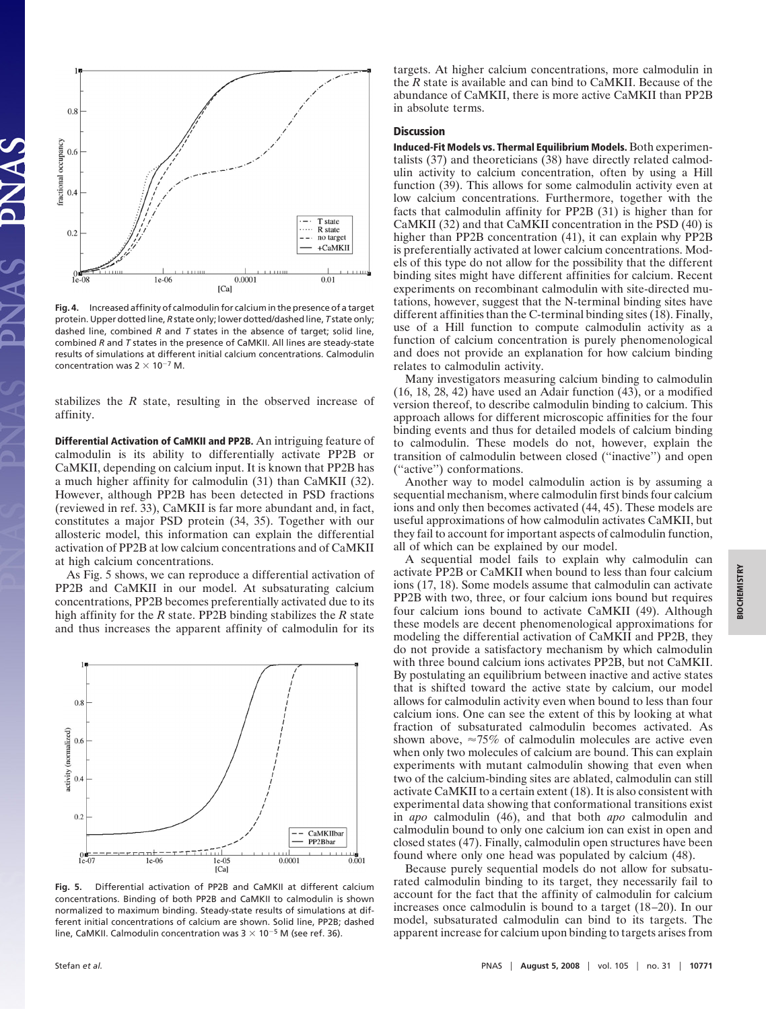

**Fig. 4.** Increased affinity of calmodulin for calcium in the presence of a target protein. Upper dotted line, *R* state only; lower dotted/dashed line, *T* state only; dashed line, combined *R* and *T* states in the absence of target; solid line, combined *R* and *T* states in the presence of CaMKII. All lines are steady-state results of simulations at different initial calcium concentrations. Calmodulin concentration was  $2 \times 10^{-7}$  M.

stabilizes the *R* state, resulting in the observed increase of affinity.

**Differential Activation of CaMKII and PP2B.** An intriguing feature of calmodulin is its ability to differentially activate PP2B or CaMKII, depending on calcium input. It is known that PP2B has a much higher affinity for calmodulin (31) than CaMKII (32). However, although PP2B has been detected in PSD fractions (reviewed in ref. 33), CaMKII is far more abundant and, in fact, constitutes a major PSD protein (34, 35). Together with our allosteric model, this information can explain the differential activation of PP2B at low calcium concentrations and of CaMKII at high calcium concentrations.

As Fig. 5 shows, we can reproduce a differential activation of PP2B and CaMKII in our model. At subsaturating calcium concentrations, PP2B becomes preferentially activated due to its high affinity for the *R* state. PP2B binding stabilizes the *R* state and thus increases the apparent affinity of calmodulin for its



**Fig. 5.** Differential activation of PP2B and CaMKII at different calcium concentrations. Binding of both PP2B and CaMKII to calmodulin is shown normalized to maximum binding. Steady-state results of simulations at different initial concentrations of calcium are shown. Solid line, PP2B; dashed line, CaMKII. Calmodulin concentration was  $3 \times 10^{-5}$  M (see ref. 36).

targets. At higher calcium concentrations, more calmodulin in the *R* state is available and can bind to CaMKII. Because of the abundance of CaMKII, there is more active CaMKII than PP2B in absolute terms.

## **Discussion**

**Induced-Fit Models vs. Thermal Equilibrium Models.**Both experimentalists (37) and theoreticians (38) have directly related calmodulin activity to calcium concentration, often by using a Hill function (39). This allows for some calmodulin activity even at low calcium concentrations. Furthermore, together with the facts that calmodulin affinity for PP2B (31) is higher than for CaMKII (32) and that CaMKII concentration in the PSD (40) is higher than PP2B concentration (41), it can explain why PP2B is preferentially activated at lower calcium concentrations. Models of this type do not allow for the possibility that the different binding sites might have different affinities for calcium. Recent experiments on recombinant calmodulin with site-directed mutations, however, suggest that the N-terminal binding sites have different affinities than the C-terminal binding sites (18). Finally, use of a Hill function to compute calmodulin activity as a function of calcium concentration is purely phenomenological and does not provide an explanation for how calcium binding relates to calmodulin activity.

Many investigators measuring calcium binding to calmodulin (16, 18, 28, 42) have used an Adair function (43), or a modified version thereof, to describe calmodulin binding to calcium. This approach allows for different microscopic affinities for the four binding events and thus for detailed models of calcium binding to calmodulin. These models do not, however, explain the transition of calmodulin between closed (''inactive'') and open (''active'') conformations.

Another way to model calmodulin action is by assuming a sequential mechanism, where calmodulin first binds four calcium ions and only then becomes activated (44, 45). These models are useful approximations of how calmodulin activates CaMKII, but they fail to account for important aspects of calmodulin function, all of which can be explained by our model.

A sequential model fails to explain why calmodulin can activate PP2B or CaMKII when bound to less than four calcium ions (17, 18). Some models assume that calmodulin can activate PP2B with two, three, or four calcium ions bound but requires four calcium ions bound to activate CaMKII (49). Although these models are decent phenomenological approximations for modeling the differential activation of CaMKII and PP2B, they do not provide a satisfactory mechanism by which calmodulin with three bound calcium ions activates PP2B, but not CaMKII. By postulating an equilibrium between inactive and active states that is shifted toward the active state by calcium, our model allows for calmodulin activity even when bound to less than four calcium ions. One can see the extent of this by looking at what fraction of subsaturated calmodulin becomes activated. As shown above,  $\approx 75\%$  of calmodulin molecules are active even when only two molecules of calcium are bound. This can explain experiments with mutant calmodulin showing that even when two of the calcium-binding sites are ablated, calmodulin can still activate CaMKII to a certain extent (18). It is also consistent with experimental data showing that conformational transitions exist in *apo* calmodulin (46), and that both *apo* calmodulin and calmodulin bound to only one calcium ion can exist in open and closed states (47). Finally, calmodulin open structures have been found where only one head was populated by calcium (48).

Because purely sequential models do not allow for subsaturated calmodulin binding to its target, they necessarily fail to account for the fact that the affinity of calmodulin for calcium increases once calmodulin is bound to a target (18–20). In our model, subsaturated calmodulin can bind to its targets. The apparent increase for calcium upon binding to targets arises from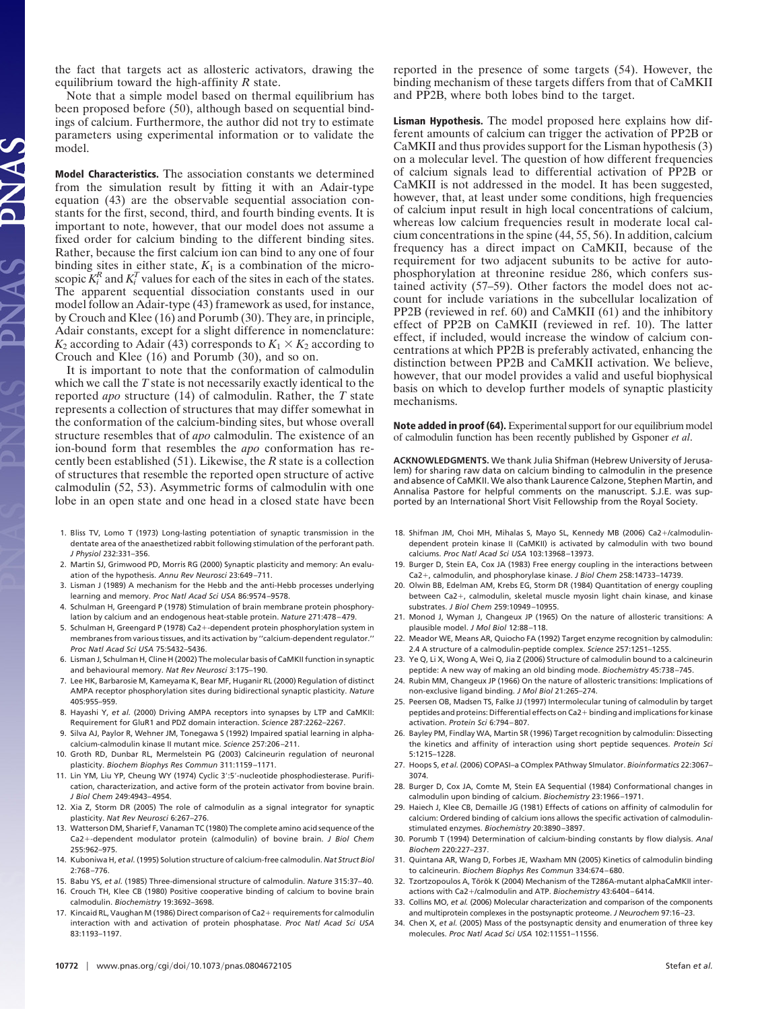the fact that targets act as allosteric activators, drawing the equilibrium toward the high-affinity *R* state.

Note that a simple model based on thermal equilibrium has been proposed before (50), although based on sequential bindings of calcium. Furthermore, the author did not try to estimate parameters using experimental information or to validate the model.

**Model Characteristics.** The association constants we determined from the simulation result by fitting it with an Adair-type equation (43) are the observable sequential association constants for the first, second, third, and fourth binding events. It is important to note, however, that our model does not assume a fixed order for calcium binding to the different binding sites. Rather, because the first calcium ion can bind to any one of four binding sites in either state,  $K_1$  is a combination of the microscopic  $K_i^R$  and  $K_i^T$  values for each of the sites in each of the states. The apparent sequential dissociation constants used in our model follow an Adair-type (43) framework as used, for instance, by Crouch and Klee (16) and Porumb (30). They are, in principle, Adair constants, except for a slight difference in nomenclature:  $K_2$  according to Adair (43) corresponds to  $K_1 \times K_2$  according to Crouch and Klee (16) and Porumb (30), and so on.

It is important to note that the conformation of calmodulin which we call the *T* state is not necessarily exactly identical to the reported *apo* structure (14) of calmodulin. Rather, the *T* state represents a collection of structures that may differ somewhat in the conformation of the calcium-binding sites, but whose overall structure resembles that of *apo* calmodulin. The existence of an ion-bound form that resembles the *apo* conformation has recently been established (51). Likewise, the *R* state is a collection of structures that resemble the reported open structure of active calmodulin (52, 53). Asymmetric forms of calmodulin with one lobe in an open state and one head in a closed state have been

- 1. Bliss TV, Lomo T (1973) Long-lasting potentiation of synaptic transmission in the dentate area of the anaesthetized rabbit following stimulation of the perforant path. *J Physiol* 232:331–356.
- 2. Martin SJ, Grimwood PD, Morris RG (2000) Synaptic plasticity and memory: An evaluation of the hypothesis. *Annu Rev Neurosci* 23:649–711.
- 3. Lisman J (1989) A mechanism for the Hebb and the anti-Hebb processes underlying learning and memory. *Proc Natl Acad Sci USA* 86:9574–9578.
- 4. Schulman H, Greengard P (1978) Stimulation of brain membrane protein phosphorylation by calcium and an endogenous heat-stable protein. *Nature* 271:478–479.
- 5. Schulman H, Greengard P (1978) Ca2+-dependent protein phosphorylation system in membranes from various tissues, and its activation by ''calcium-dependent regulator.'' *Proc Natl Acad Sci USA* 75:5432–5436.
- 6. Lisman J, Schulman H, Cline H (2002) The molecular basis of CaMKII function in synaptic and behavioural memory. *Nat Rev Neurosci* 3:175–190.
- 7. Lee HK, Barbarosie M, Kameyama K, Bear MF, Huganir RL (2000) Regulation of distinct AMPA receptor phosphorylation sites during bidirectional synaptic plasticity. *Nature* 405:955–959.
- 8. Hayashi Y, *et al.* (2000) Driving AMPA receptors into synapses by LTP and CaMKII: Requirement for GluR1 and PDZ domain interaction. *Science* 287:2262–2267.
- 9. Silva AJ, Paylor R, Wehner JM, Tonegawa S (1992) Impaired spatial learning in alphacalcium-calmodulin kinase II mutant mice. *Science* 257:206–211.
- 10. Groth RD, Dunbar RL, Mermelstein PG (2003) Calcineurin regulation of neuronal plasticity. *Biochem Biophys Res Commun* 311:1159–1171.
- 11. Lin YM, Liu YP, Cheung WY (1974) Cyclic 3 :5 -nucleotide phosphodiesterase. Purification, characterization, and active form of the protein activator from bovine brain. *J Biol Chem* 249:4943–4954.
- 12. Xia Z, Storm DR (2005) The role of calmodulin as a signal integrator for synaptic plasticity. *Nat Rev Neurosci* 6:267–276.
- 13. Watterson DM, Sharief F, Vanaman TC (1980) The complete amino acid sequence of the Ca2-dependent modulator protein (calmodulin) of bovine brain. *J Biol Chem* 255:962–975.
- 14. Kuboniwa H, *et al.* (1995) Solution structure of calcium-free calmodulin. *Nat Struct Biol* 2:768–776.
- 15. Babu YS, *et al.* (1985) Three-dimensional structure of calmodulin. *Nature* 315:37–40. 16. Crouch TH, Klee CB (1980) Positive cooperative binding of calcium to bovine brain
- calmodulin. *Biochemistry* 19:3692–3698. 17. Kincaid RL, Vaughan M (1986) Direct comparison of Ca2+ requirements for calmodulin interaction with and activation of protein phosphatase. *Proc Natl Acad Sci USA* 83:1193–1197.

reported in the presence of some targets (54). However, the binding mechanism of these targets differs from that of CaMKII and PP2B, where both lobes bind to the target.

**Lisman Hypothesis.** The model proposed here explains how different amounts of calcium can trigger the activation of PP2B or CaMKII and thus provides support for the Lisman hypothesis (3) on a molecular level. The question of how different frequencies of calcium signals lead to differential activation of PP2B or CaMKII is not addressed in the model. It has been suggested, however, that, at least under some conditions, high frequencies of calcium input result in high local concentrations of calcium, whereas low calcium frequencies result in moderate local calcium concentrations in the spine (44, 55, 56). In addition, calcium frequency has a direct impact on CaMKII, because of the requirement for two adjacent subunits to be active for autophosphorylation at threonine residue 286, which confers sustained activity (57–59). Other factors the model does not account for include variations in the subcellular localization of PP2B (reviewed in ref. 60) and CaMKII (61) and the inhibitory effect of PP2B on CaMKII (reviewed in ref. 10). The latter effect, if included, would increase the window of calcium concentrations at which PP2B is preferably activated, enhancing the distinction between PP2B and CaMKII activation. We believe, however, that our model provides a valid and useful biophysical basis on which to develop further models of synaptic plasticity mechanisms.

**Note added in proof (64).** Experimental support for our equilibrium model of calmodulin function has been recently published by Gsponer *et al*.

**ACKNOWLEDGMENTS.** We thank Julia Shifman (Hebrew University of Jerusalem) for sharing raw data on calcium binding to calmodulin in the presence and absence of CaMKII. We also thank Laurence Calzone, Stephen Martin, and Annalisa Pastore for helpful comments on the manuscript. S.J.E. was supported by an International Short Visit Fellowship from the Royal Society.

- 18. Shifman JM, Choi MH, Mihalas S, Mayo SL, Kennedy MB (2006) Ca2+/calmodulindependent protein kinase II (CaMKII) is activated by calmodulin with two bound calciums. *Proc Natl Acad Sci USA* 103:13968–13973.
- 19. Burger D, Stein EA, Cox JA (1983) Free energy coupling in the interactions between Ca2+, calmodulin, and phosphorylase kinase. *J Biol Chem* 258:14733-14739.
- 20. Olwin BB, Edelman AM, Krebs EG, Storm DR (1984) Quantitation of energy coupling between Ca2+, calmodulin, skeletal muscle myosin light chain kinase, and kinase substrates. *J Biol Chem* 259:10949–10955.
- 21. Monod J, Wyman J, Changeux JP (1965) On the nature of allosteric transitions: A plausible model. *J Mol Biol* 12:88–118.
- 22. Meador WE, Means AR, Quiocho FA (1992) Target enzyme recognition by calmodulin: 2.4 A structure of a calmodulin-peptide complex. *Science* 257:1251–1255.
- 23. Ye Q, Li X, Wong A, Wei Q, Jia Z (2006) Structure of calmodulin bound to a calcineurin peptide: A new way of making an old binding mode. *Biochemistry* 45:738–745.
- 24. Rubin MM, Changeux JP (1966) On the nature of allosteric transitions: Implications of non-exclusive ligand binding. *J Mol Biol* 21:265–274.
- 25. Peersen OB, Madsen TS, Falke JJ (1997) Intermolecular tuning of calmodulin by target peptides and proteins: Differential effects on Ca2+ binding and implications for kinase activation. *Protein Sci* 6:794–807.
- 26. Bayley PM, Findlay WA, Martin SR (1996) Target recognition by calmodulin: Dissecting the kinetics and affinity of interaction using short peptide sequences. *Protein Sci* 5:1215–1228.
- 27. Hoops S, *et al.* (2006) COPASI–a COmplex PAthway SImulator. *Bioinformatics* 22:3067– 3074.
- 28. Burger D, Cox JA, Comte M, Stein EA Sequential (1984) Conformational changes in calmodulin upon binding of calcium. *Biochemistry* 23:1966–1971.
- 29. Haiech J, Klee CB, Demaille JG (1981) Effects of cations on affinity of calmodulin for calcium: Ordered binding of calcium ions allows the specific activation of calmodulinstimulated enzymes. *Biochemistry* 20:3890–3897.
- 30. Porumb T (1994) Determination of calcium-binding constants by flow dialysis. *Anal Biochem* 220:227–237.
- 31. Quintana AR, Wang D, Forbes JE, Waxham MN (2005) Kinetics of calmodulin binding to calcineurin. *Biochem Biophys Res Commun* 334:674–680.
- 32. Tzortzopoulos A, Török K (2004) Mechanism of the T286A-mutant alphaCaMKII interactions with Ca2+/calmodulin and ATP. *Biochemistry* 43:6404-6414.
- 33. Collins MO, *et al.* (2006) Molecular characterization and comparison of the components and multiprotein complexes in the postsynaptic proteome. *J Neurochem* 97:16–23.
- 34. Chen X, *et al.* (2005) Mass of the postsynaptic density and enumeration of three key molecules. *Proc Natl Acad Sci USA* 102:11551–11556.